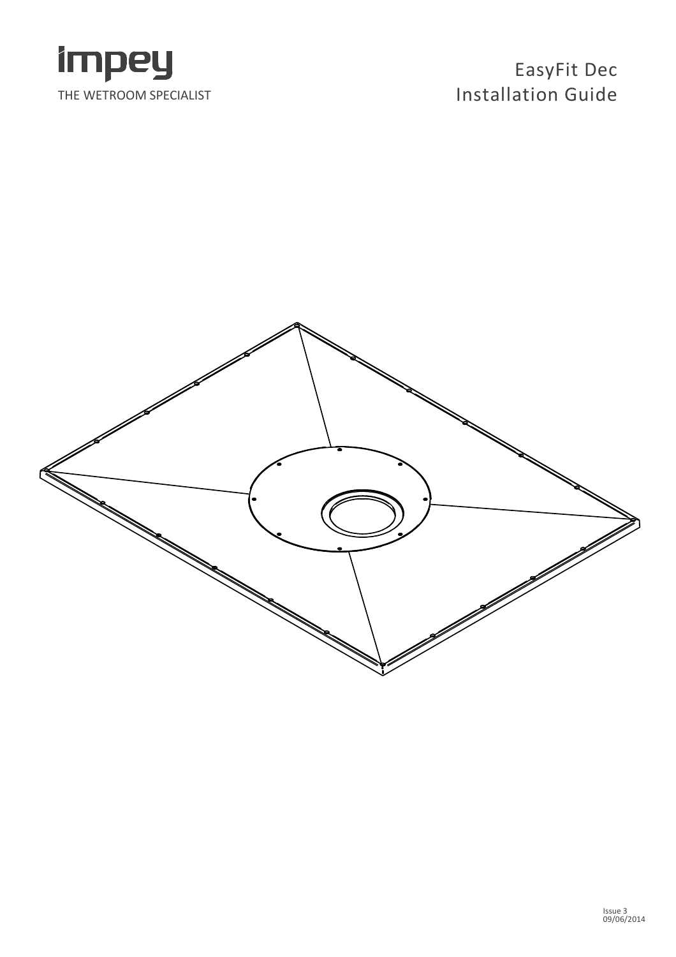

## EasyFit Dec Installation Guide

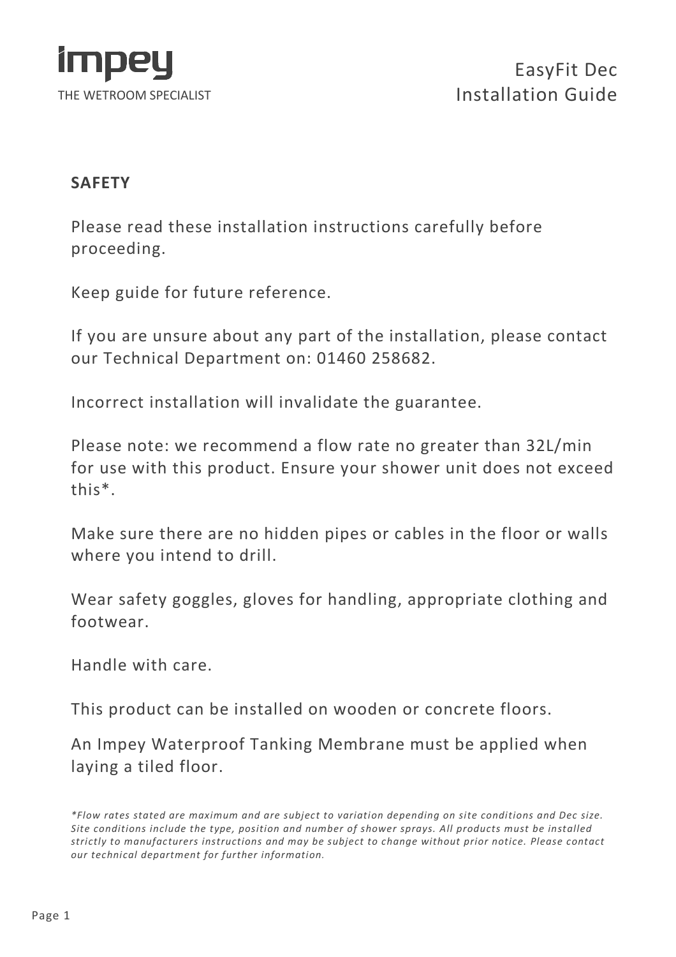

#### **SAFFTY**

Please read these installation instructions carefully before proceeding.

Keep guide for future reference.

If you are unsure about any part of the installation, please contact our Technical Department on: 01460 258682.

Incorrect installation will invalidate the guarantee.

Please note: we recommend a flow rate no greater than 32L/min for use with this product. Ensure your shower unit does not exceed this\*.

Make sure there are no hidden pipes or cables in the floor or walls where you intend to drill.

Wear safety goggles, gloves for handling, appropriate clothing and footwear.

Handle with care.

This product can be installed on wooden or concrete floors.

An Impey Waterproof Tanking Membrane must be applied when laying a tiled floor.

<sup>\*</sup>Flow rates stated are maximum and are subject to variation depending on site conditions and Dec size. Site conditions include the type, position and number of shower sprays. All products must be installed strictly to manufacturers instructions and may be subject to change without prior notice. Please contact our technical department for further information.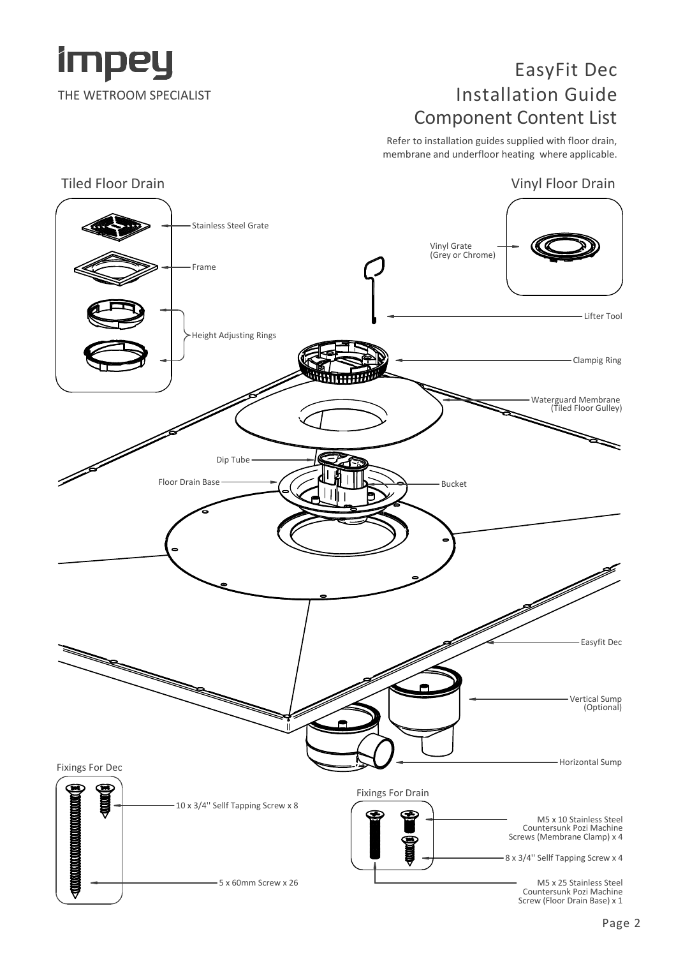

#### EasyFit Dec Installation Guide Component Content List

Refer to installation guides supplied with floor drain, membrane and underfloor heating where applicable.

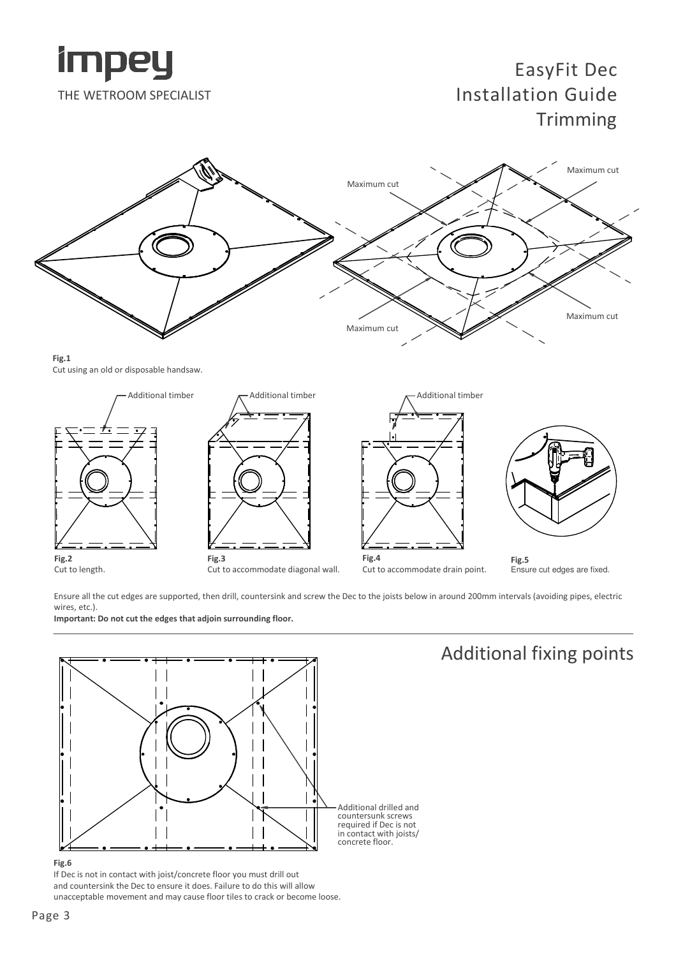

### EasyFit Dec Installation Guide **Trimming**



Fig.1 Cut using an old or disposable handsaw.



Ensure all the cut edges are supported, then drill, countersink and screw the Dec to the joists below in around 200mm intervals (avoiding pipes, electric wires, etc.).

Important: Do not cut the edges that adjoin surrounding floor.



#### Additional fixing points

#### Fig.6

If Dec is not in contact with joist/concrete floor you must drill out and countersink the Dec to ensure it does. Failure to do this will allow unacceptable movement and may cause floor tiles to crack or become loose.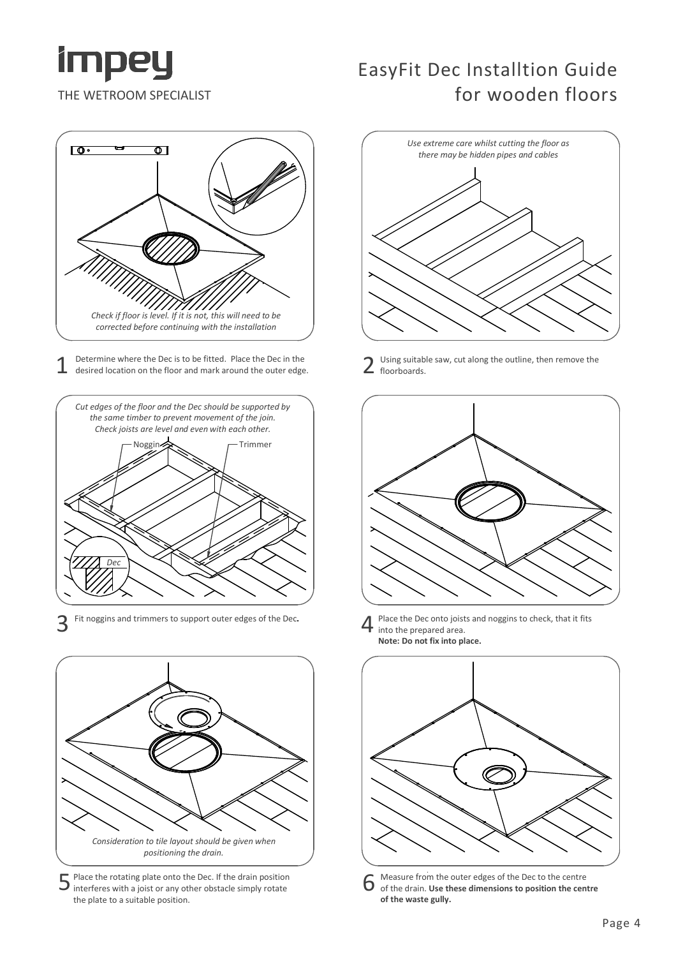

#### EasyFit Dec Installtion Guide for wooden floors



1 Determine where the Dec is to be fitted. Place the Dec in the<br>desired location on the floor and mark around the outer edge. Determine where the Dec is to be fitted. Place the Dec in the



3 Fit noggins and trimmers to support outer edges of the Dec.



5 Place the rotating plate onto the Dec. If the drain position interferes with a joist or any other obstacle simply rotate the plate to a suitable position.



Using suitable saw, cut along the outline, then remove the floorboards.



Place the Dec onto joists and noggins to check, that it fits into the prepared area. Note: Do not fix into place.



6 Measure from the outer edges of the Dec to the centre of the drain. Use these dimensions to position the centre of the waste gully.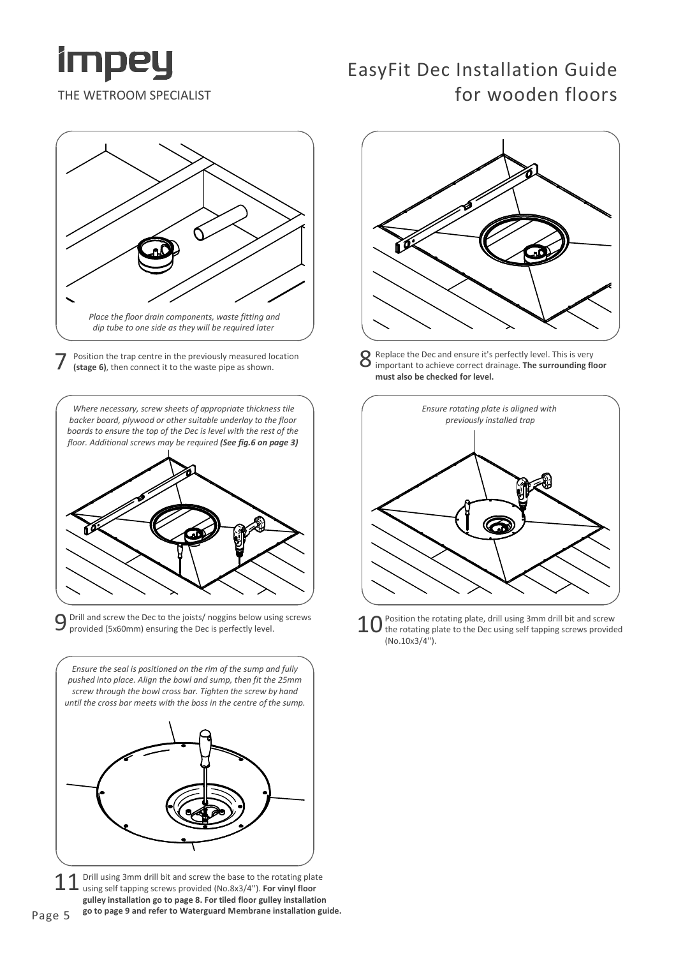

#### EasyFit Dec Installation Guide for wooden floors



7 Position the trap centre in the previously measured location<br>
(stage 6), then connect it to the waste pipe as shown. (stage 6), then connect it to the waste pipe as shown.

Where necessary, screw sheets of appropriate thickness tile backer board, plywood or other suitable underlay to the floor boards to ensure the top of the Dec is level with the rest of the floor. Additional screws may be required (See fig.6 on page 3)



 $9$  Drill and screw the Dec to the joists/ noggins below using screws  $10$ provided (5x60mm) ensuring the Dec is perfectly level.



11 Drill using 3mm drill bit and screw the base to the rotating plate using self tapping screws provided (No.8x3/4''). For vinyl floor gulley installation go to page 8. For tiled floor gulley installation Page 5 go to page 9 and refer to Waterguard Membrane installation guide.



Replace the Dec and ensure it's perfectly level. This is very important to achieve correct drainage. The surrounding floor must also be checked for level.



Position the rotating plate, drill using 3mm drill bit and screw the rotating plate to the Dec using self tapping screws provided (No.10x3/4'').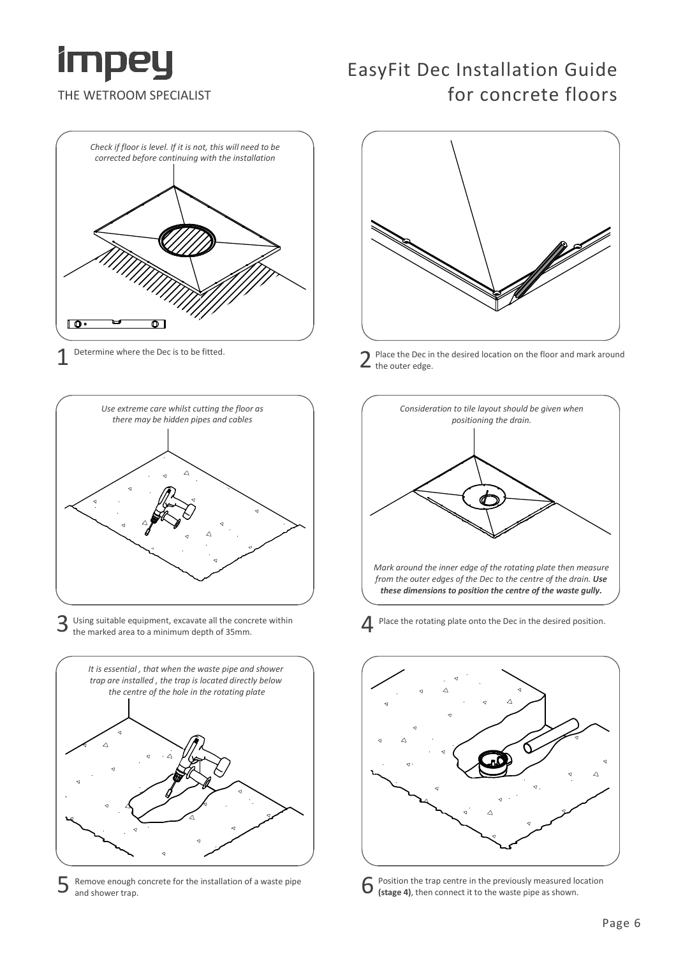

# Check if floor is level. If it is not, this will need to be corrected before continuing with the installation го۰ י 1 Determine where the Dec is to be fitted.



3 Using suitable equipment, excavate all the concrete within<br>
the marked area to a minimum depth of 35mm. the marked area to a minimum depth of 35mm.



 $5$  Remove enough concrete for the installation of a waste pipe<br>  $6$ and shower trap.

#### EasyFit Dec Installation Guide for concrete floors



Place the Dec in the desired location on the floor and mark around the outer edge.



Place the rotating plate onto the Dec in the desired position.



Position the trap centre in the previously measured location (stage 4), then connect it to the waste pipe as shown.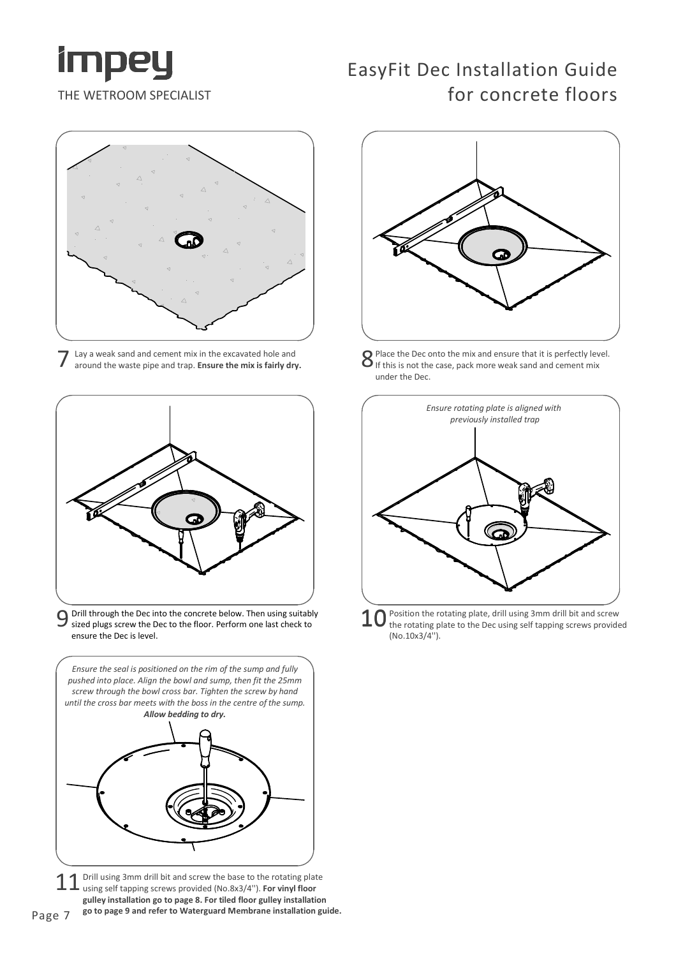

## EasyFit Dec Installation Guide for concrete floors



Lay a weak sand and cement mix in the excavated hole and around the waste pipe and trap. Ensure the mix is fairly dry.



 $9$  Drill through the Dec into the concrete below. Then using suitably  $10$ <br>Sized plugs screw the Dec to the floor. Perform one last check to  $10$ sized plugs screw the Dec to the floor. Perform one last check to ensure the Dec is level.



11 Drill using 3mm drill bit and screw the base to the rotating plated using self tapping screws provided (No.8x3/4"). For vinyl floor Drill using 3mm drill bit and screw the base to the rotating plate gulley installation go to page 8. For tiled floor gulley installation go to page 9 and refer to Waterguard Membrane installation guide.



Place the Dec onto the mix and ensure that it is perfectly level. If this is not the case, pack more weak sand and cement mix under the Dec.



Position the rotating plate, drill using 3mm drill bit and screw the rotating plate to the Dec using self tapping screws provided (No.10x3/4'').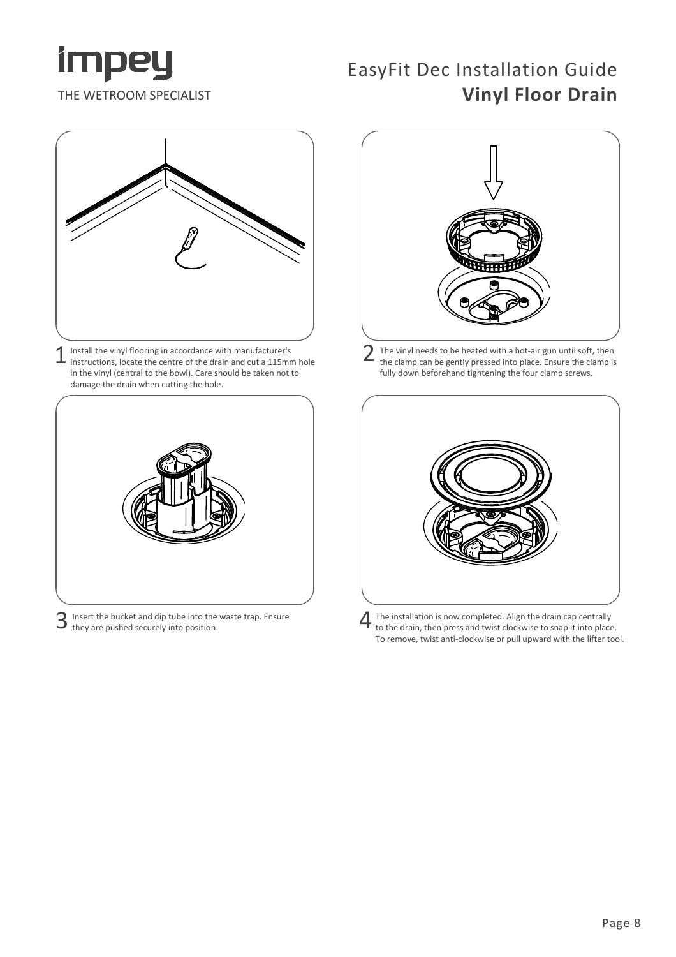

### EasyFit Dec Installation Guide Vinyl Floor Drain



1 Install the vinyl flooring in accordance with manufacturer's instructions, locate the centre of the drain and cut a 115mm hole in the vinyl (central to the bowl). Care should be taken not to damage the drain when cutting the hole.



3 Insert the bucket and dip tube into the waste trap. Ensure<br>3 they are pushed securely into position.



2 The vinyl needs to be heated with a hot-air gun until soft, then the clamp can be gently pressed into place. Ensure the clamp is fully down beforehand tightening the four clamp screws.



The installation is now completed. Align the drain cap centrally to the drain, then press and twist clockwise to snap it into place. To remove, twist anti-clockwise or pull upward with the lifter tool.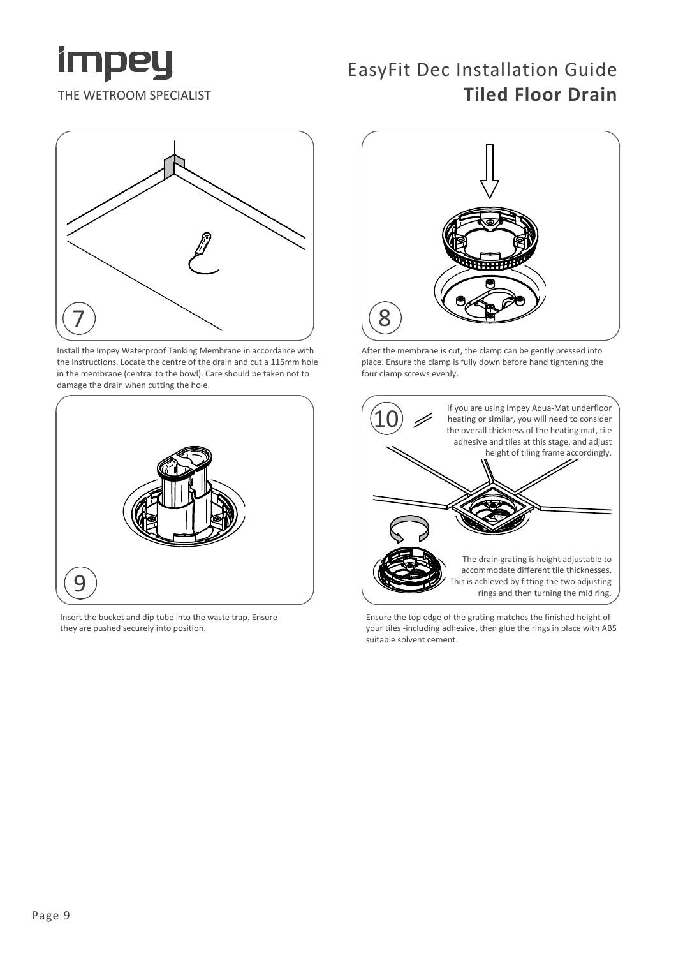

#### EasyFit Dec Installation Guide Tiled Floor Drain



Install the Impey Waterproof Tanking Membrane in accordance with the instructions. Locate the centre of the drain and cut a 115mm hole in the membrane (central to the bowl). Care should be taken not to damage the drain when cutting the hole.



Insert the bucket and dip tube into the waste trap. Ensure they are pushed securely into position.



After the membrane is cut, the clamp can be gently pressed into place. Ensure the clamp is fully down before hand tightening the four clamp screws evenly.



Ensure the top edge of the grating matches the finished height of your tiles -including adhesive, then glue the rings in place with ABS suitable solvent cement.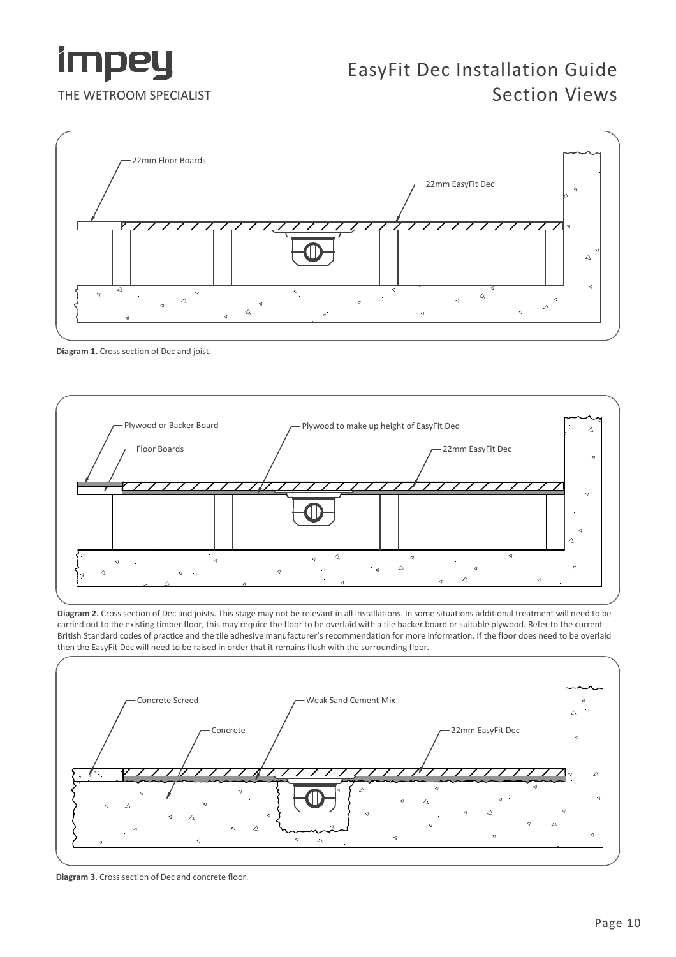

#### EasyFit Dec Installation Guide Section Views



Diagram 1. Cross section of Dec and joist.



Diagram 2. Cross section of Dec and joists. This stage may not be relevant in all installations. In some situations additional treatment will need to be carried out to the existing timber floor, this may require the floor to be overlaid with a tile backer board or suitable plywood. Refer to the current British Standard codes of practice and the tile adhesive manufacturer's recommendation for more information. If the floor does need to be overlaid then the EasyFit Dec will need to be raised in order that it remains flush with the surrounding floor.



Diagram 3. Cross section of Dec and concrete floor.